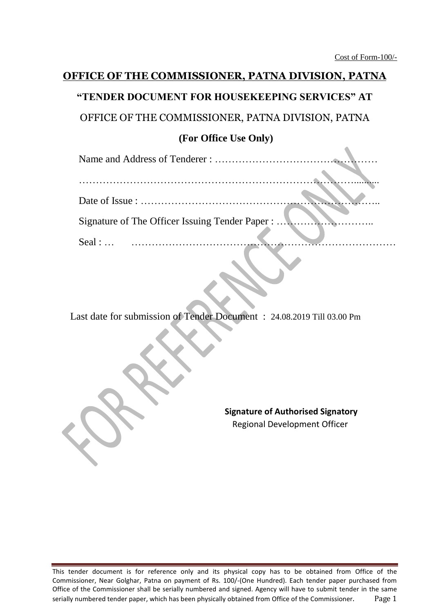# **OFFICE OF THE COMMISSIONER, PATNA DIVISION, PATNA "TENDER DOCUMENT FOR HOUSEKEEPING SERVICES" AT**

OFFICE OF THE COMMISSIONER, PATNA DIVISION, PATNA

## **(For Office Use Only)**

Name and Address of Tenderer : …………………………………………

| Signature of The Officer Issuing Tender Paper :              |  |
|--------------------------------------------------------------|--|
| Seal : $\ldots$ $\ldots$ $\ldots$ $\ldots$ $\ldots$ $\ldots$ |  |
|                                                              |  |

Last date for submission of Tender Document : 24.08.2019 Till 03.00 Pm

**Signature of Authorised Signatory** Regional Development Officer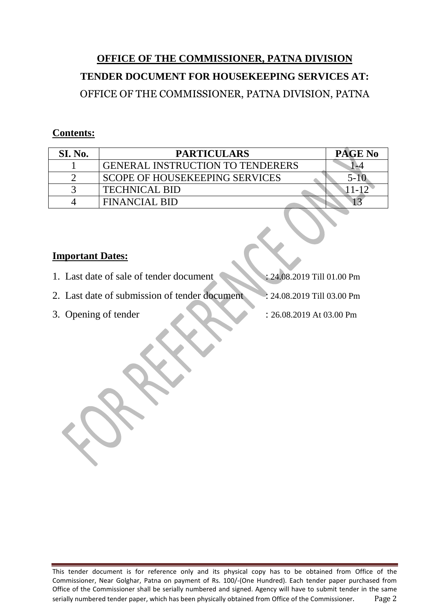# **OFFICE OF THE COMMISSIONER, PATNA DIVISION TENDER DOCUMENT FOR HOUSEKEEPING SERVICES AT:** OFFICE OF THE COMMISSIONER, PATNA DIVISION, PATNA

### **Contents:**

| SI. No. | <b>PARTICULARS</b>                      | <b>PAGE No</b>     |
|---------|-----------------------------------------|--------------------|
|         | <b>GENERAL INSTRUCTION TO TENDERERS</b> | $\rightarrow \sim$ |
|         | <b>SCOPE OF HOUSEKEEPING SERVICES</b>   |                    |
|         | <b>TECHNICAL BID</b>                    |                    |
|         | <b>FINANCIAL BID</b>                    |                    |

## **Important Dates:**

- 1. Last date of sale of tender document : 24.08.2019 Till 01.00 Pm
- 2. Last date of submission of tender document : 24.08.2019 Till 03.00 Pm
- 
- 3. Opening of tender : 26.08.2019 At 03.00 Pm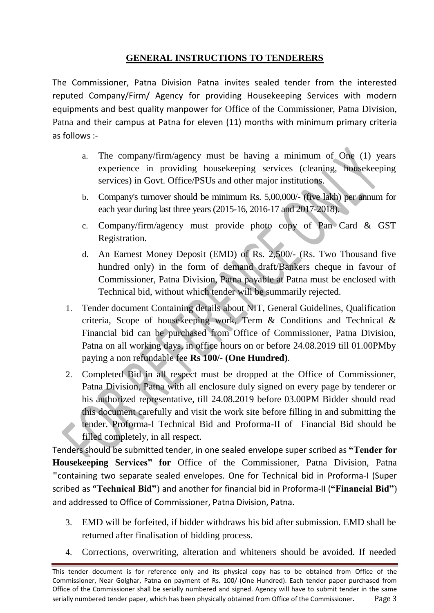## **GENERAL INSTRUCTIONS TO TENDERERS**

The Commissioner, Patna Division Patna invites sealed tender from the interested reputed Company/Firm/ Agency for providing Housekeeping Services with modern equipments and best quality manpower for Office of the Commissioner, Patna Division, Patna and their campus at Patna for eleven (11) months with minimum primary criteria as follows :-

- a. The company/firm/agency must be having a minimum of One (1) years experience in providing housekeeping services (cleaning, housekeeping services) in Govt. Office/PSUs and other major institutions.
- b. Company's turnover should be minimum Rs. 5,00,000/- (five lakh) per annum for each year during last three years (2015-16, 2016-17 and 2017-2018).
- c. Company/firm/agency must provide photo copy of Pan Card & GST Registration.
- d. An Earnest Money Deposit (EMD) of Rs. 2,500/- (Rs. Two Thousand five hundred only) in the form of demand draft/Bankers cheque in favour of Commissioner, Patna Division, Patna payable at Patna must be enclosed with Technical bid, without which tender will be summarily rejected.
- 1. Tender document Containing details about NIT, General Guidelines, Qualification criteria, Scope of housekeeping work, Term & Conditions and Technical & Financial bid can be purchased from Office of Commissioner, Patna Division, Patna on all working days, in office hours on or before 24.08.2019 till 01.00PMby paying a non refundable fee **Rs 100/- (One Hundred)**.
- 2. Completed Bid in all respect must be dropped at the Office of Commissioner, Patna Division, Patna with all enclosure duly signed on every page by tenderer or his authorized representative, till 24.08.2019 before 03.00PM Bidder should read this document carefully and visit the work site before filling in and submitting the tender. Proforma-I Technical Bid and Proforma-II of Financial Bid should be filled completely, in all respect.

Tenders should be submitted tender, in one sealed envelope super scribed as **"Tender for Housekeeping Services" for** Office of the Commissioner, Patna Division, Patna **"**containing two separate sealed envelopes. One for Technical bid in Proforma-I (Super scribed as **"Technical Bid"**) and another for financial bid in Proforma-II (**"Financial Bid"**) and addressed to Office of Commissioner, Patna Division, Patna.

- 3. EMD will be forfeited, if bidder withdraws his bid after submission. EMD shall be returned after finalisation of bidding process.
- 4. Corrections, overwriting, alteration and whiteners should be avoided. If needed

This tender document is for reference only and its physical copy has to be obtained from Office of the Commissioner, Near Golghar, Patna on payment of Rs. 100/-(One Hundred). Each tender paper purchased from Office of the Commissioner shall be serially numbered and signed. Agency will have to submit tender in the same serially numbered tender paper, which has been physically obtained from Office of the Commissioner. Page 3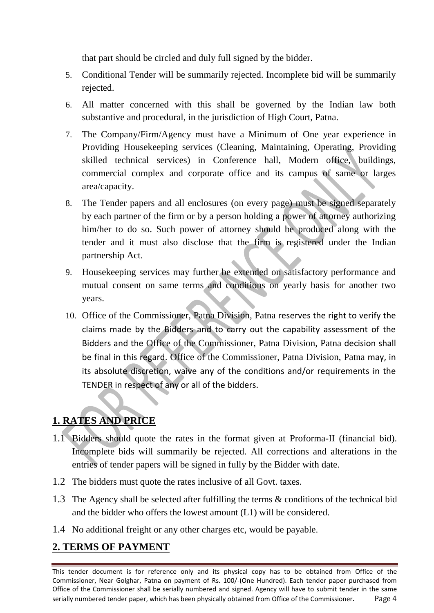that part should be circled and duly full signed by the bidder.

- 5. Conditional Tender will be summarily rejected. Incomplete bid will be summarily rejected.
- 6. All matter concerned with this shall be governed by the Indian law both substantive and procedural, in the jurisdiction of High Court, Patna.
- 7. The Company/Firm/Agency must have a Minimum of One year experience in Providing Housekeeping services (Cleaning, Maintaining, Operating, Providing skilled technical services) in Conference hall, Modern office, buildings, commercial complex and corporate office and its campus of same or larges area/capacity.
- 8. The Tender papers and all enclosures (on every page) must be signed separately by each partner of the firm or by a person holding a power of attorney authorizing him/her to do so. Such power of attorney should be produced along with the tender and it must also disclose that the firm is registered under the Indian partnership Act.
- 9. Housekeeping services may further be extended on satisfactory performance and mutual consent on same terms and conditions on yearly basis for another two years.
- 10. Office of the Commissioner, Patna Division, Patna reserves the right to verify the claims made by the Bidders and to carry out the capability assessment of the Bidders and the Office of the Commissioner, Patna Division, Patna decision shall be final in this regard. Office of the Commissioner, Patna Division, Patna may, in its absolute discretion, waive any of the conditions and/or requirements in the TENDER in respect of any or all of the bidders.

## **1. RATES AND PRICE**

- 1.1 Bidders should quote the rates in the format given at Proforma-II (financial bid). Incomplete bids will summarily be rejected. All corrections and alterations in the entries of tender papers will be signed in fully by the Bidder with date.
- 1.2 The bidders must quote the rates inclusive of all Govt. taxes.
- 1.3 The Agency shall be selected after fulfilling the terms & conditions of the technical bid and the bidder who offers the lowest amount (L1) will be considered.
- 1.4 No additional freight or any other charges etc, would be payable.

## **2. TERMS OF PAYMENT**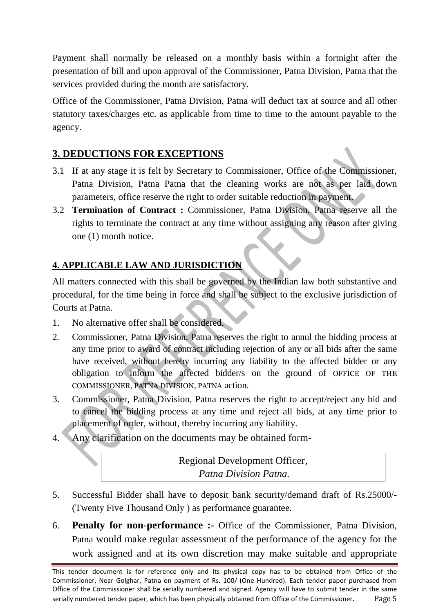Payment shall normally be released on a monthly basis within a fortnight after the presentation of bill and upon approval of the Commissioner, Patna Division, Patna that the services provided during the month are satisfactory.

Office of the Commissioner, Patna Division, Patna will deduct tax at source and all other statutory taxes/charges etc. as applicable from time to time to the amount payable to the agency.

## **3. DEDUCTIONS FOR EXCEPTIONS**

- 3.1 If at any stage it is felt by Secretary to Commissioner, Office of the Commissioner, Patna Division, Patna Patna that the cleaning works are not as per laid down parameters, office reserve the right to order suitable reduction in payment.
- 3.2 **Termination of Contract :** Commissioner, Patna Division, Patna reserve all the rights to terminate the contract at any time without assigning any reason after giving one (1) month notice.

## **4. APPLICABLE LAW AND JURISDICTION**

All matters connected with this shall be governed by the Indian law both substantive and procedural, for the time being in force and shall be subject to the exclusive jurisdiction of Courts at Patna.

- 1. No alternative offer shall be considered.
- 2. Commissioner, Patna Division, Patna reserves the right to annul the bidding process at any time prior to award of contract including rejection of any or all bids after the same have received, without hereby incurring any liability to the affected bidder or any obligation to inform the affected bidder/s on the ground of OFFICE OF THE COMMISSIONER, PATNA DIVISION, PATNA action.
- 3. Commissioner, Patna Division, Patna reserves the right to accept/reject any bid and to cancel the bidding process at any time and reject all bids, at any time prior to placement of order, without, thereby incurring any liability.
- 4. Any clarification on the documents may be obtained form-

Regional Development Officer*, Patna Division Patna.*

- 5. Successful Bidder shall have to deposit bank security/demand draft of Rs.25000/- (Twenty Five Thousand Only ) as performance guarantee.
- 6. **Penalty for non-performance :-** Office of the Commissioner, Patna Division, Patna would make regular assessment of the performance of the agency for the work assigned and at its own discretion may make suitable and appropriate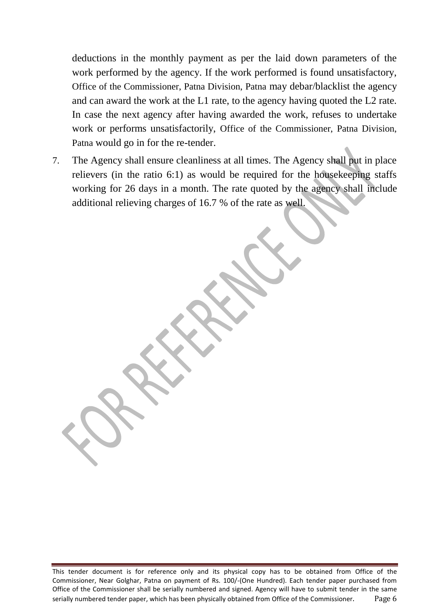deductions in the monthly payment as per the laid down parameters of the work performed by the agency. If the work performed is found unsatisfactory, Office of the Commissioner, Patna Division, Patna may debar/blacklist the agency and can award the work at the L1 rate, to the agency having quoted the L2 rate. In case the next agency after having awarded the work, refuses to undertake work or performs unsatisfactorily, Office of the Commissioner, Patna Division, Patna would go in for the re-tender.

7. The Agency shall ensure cleanliness at all times. The Agency shall put in place relievers (in the ratio 6:1) as would be required for the housekeeping staffs working for 26 days in a month. The rate quoted by the agency shall include additional relieving charges of 16.7 % of the rate as well.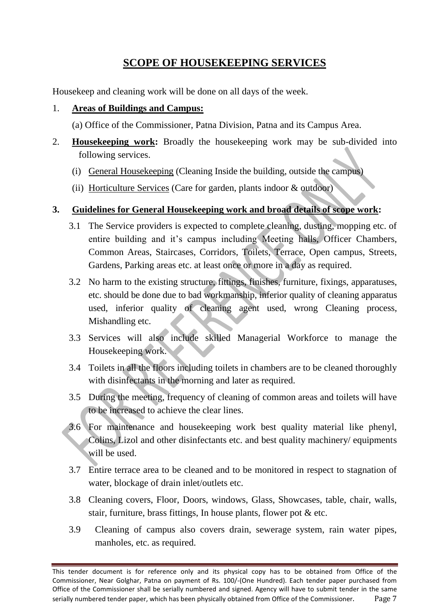## **SCOPE OF HOUSEKEEPING SERVICES**

Housekeep and cleaning work will be done on all days of the week.

### 1. **Areas of Buildings and Campus:**

(a) Office of the Commissioner, Patna Division, Patna and its Campus Area.

- 2. **Housekeeping work:** Broadly the housekeeping work may be sub-divided into following services.
	- (i) General Housekeeping (Cleaning Inside the building, outside the campus)
	- (ii) Horticulture Services (Care for garden, plants indoor & outdoor)

#### **3. Guidelines for General Housekeeping work and broad details of scope work:**

- 3.1 The Service providers is expected to complete cleaning, dusting, mopping etc. of entire building and it's campus including Meeting halls, Officer Chambers, Common Areas, Staircases, Corridors, Toilets, Terrace, Open campus, Streets, Gardens, Parking areas etc. at least once or more in a day as required.
- 3.2 No harm to the existing structure, fittings, finishes, furniture, fixings, apparatuses, etc. should be done due to bad workmanship, inferior quality of cleaning apparatus used, inferior quality of cleaning agent used, wrong Cleaning process, Mishandling etc.
- 3.3 Services will also include skilled Managerial Workforce to manage the Housekeeping work.
- 3.4 Toilets in all the floors including toilets in chambers are to be cleaned thoroughly with disinfectants in the morning and later as required.
- 3.5 During the meeting, frequency of cleaning of common areas and toilets will have to be increased to achieve the clear lines.
- 3.6 For maintenance and housekeeping work best quality material like phenyl, Colins, Lizol and other disinfectants etc. and best quality machinery/ equipments will be used.
- 3.7 Entire terrace area to be cleaned and to be monitored in respect to stagnation of water, blockage of drain inlet/outlets etc.
- 3.8 Cleaning covers, Floor, Doors, windows, Glass, Showcases, table, chair, walls, stair, furniture, brass fittings, In house plants, flower pot & etc.
- 3.9 Cleaning of campus also covers drain, sewerage system, rain water pipes, manholes, etc. as required.

This tender document is for reference only and its physical copy has to be obtained from Office of the Commissioner, Near Golghar, Patna on payment of Rs. 100/-(One Hundred). Each tender paper purchased from Office of the Commissioner shall be serially numbered and signed. Agency will have to submit tender in the same serially numbered tender paper, which has been physically obtained from Office of the Commissioner. Page 7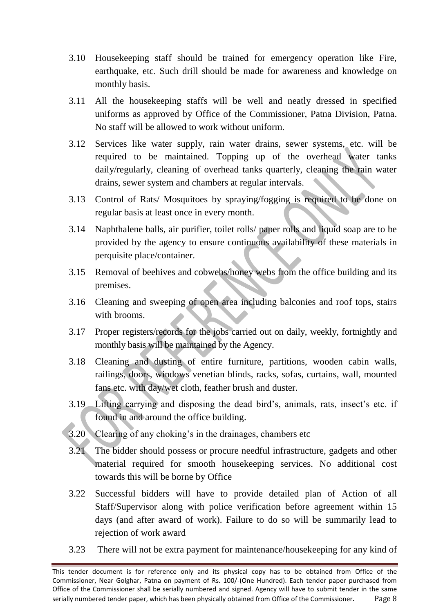- 3.10 Housekeeping staff should be trained for emergency operation like Fire, earthquake, etc. Such drill should be made for awareness and knowledge on monthly basis.
- 3.11 All the housekeeping staffs will be well and neatly dressed in specified uniforms as approved by Office of the Commissioner, Patna Division, Patna. No staff will be allowed to work without uniform.
- 3.12 Services like water supply, rain water drains, sewer systems, etc. will be required to be maintained. Topping up of the overhead water tanks daily/regularly, cleaning of overhead tanks quarterly, cleaning the rain water drains, sewer system and chambers at regular intervals.
- 3.13 Control of Rats/ Mosquitoes by spraying/fogging is required to be done on regular basis at least once in every month.
- 3.14 Naphthalene balls, air purifier, toilet rolls/ paper rolls and liquid soap are to be provided by the agency to ensure continuous availability of these materials in perquisite place/container.
- 3.15 Removal of beehives and cobwebs/honey webs from the office building and its premises.
- 3.16 Cleaning and sweeping of open area including balconies and roof tops, stairs with brooms.
- 3.17 Proper registers/records for the jobs carried out on daily, weekly, fortnightly and monthly basis will be maintained by the Agency.
- 3.18 Cleaning and dusting of entire furniture, partitions, wooden cabin walls, railings, doors, windows venetian blinds, racks, sofas, curtains, wall, mounted fans etc. with day/wet cloth, feather brush and duster.
- 3.19 Lifting carrying and disposing the dead bird's, animals, rats, insect's etc. if found in and around the office building.
- 3.20 Clearing of any choking's in the drainages, chambers etc
- 3.21 The bidder should possess or procure needful infrastructure, gadgets and other material required for smooth housekeeping services. No additional cost towards this will be borne by Office
- 3.22 Successful bidders will have to provide detailed plan of Action of all Staff/Supervisor along with police verification before agreement within 15 days (and after award of work). Failure to do so will be summarily lead to rejection of work award
- 3.23 There will not be extra payment for maintenance/housekeeping for any kind of

This tender document is for reference only and its physical copy has to be obtained from Office of the Commissioner, Near Golghar, Patna on payment of Rs. 100/-(One Hundred). Each tender paper purchased from Office of the Commissioner shall be serially numbered and signed. Agency will have to submit tender in the same serially numbered tender paper, which has been physically obtained from Office of the Commissioner. Page 8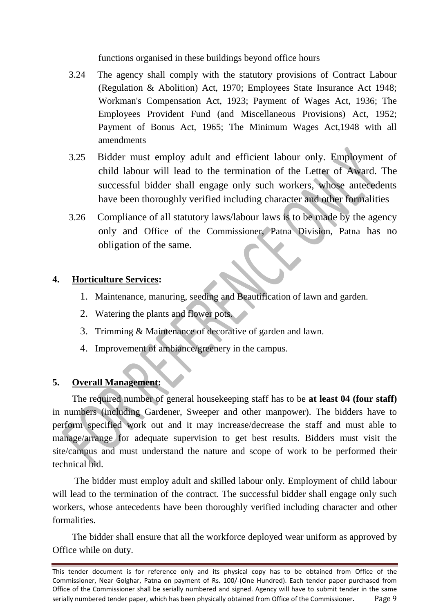functions organised in these buildings beyond office hours

- 3.24 The agency shall comply with the statutory provisions of Contract Labour (Regulation & Abolition) Act, 1970; Employees State Insurance Act 1948; Workman's Compensation Act, 1923; Payment of Wages Act, 1936; The Employees Provident Fund (and Miscellaneous Provisions) Act, 1952; Payment of Bonus Act, 1965; The Minimum Wages Act,1948 with all amendments
- 3.25 Bidder must employ adult and efficient labour only. Employment of child labour will lead to the termination of the Letter of Award. The successful bidder shall engage only such workers, whose antecedents have been thoroughly verified including character and other formalities
- 3.26 Compliance of all statutory laws/labour laws is to be made by the agency only and Office of the Commissioner, Patna Division, Patna has no obligation of the same.

## **4. Horticulture Services:**

- 1. Maintenance, manuring, seeding and Beautification of lawn and garden.
- 2. Watering the plants and flower pots.
- 3. Trimming & Maintenance of decorative of garden and lawn.
- 4. Improvement of ambiance/greenery in the campus.

## **5. Overall Management:**

The required number of general housekeeping staff has to be **at least 04 (four staff)** in numbers (including Gardener, Sweeper and other manpower). The bidders have to perform specified work out and it may increase/decrease the staff and must able to manage/arrange for adequate supervision to get best results. Bidders must visit the site/campus and must understand the nature and scope of work to be performed their technical bid.

The bidder must employ adult and skilled labour only. Employment of child labour will lead to the termination of the contract. The successful bidder shall engage only such workers, whose antecedents have been thoroughly verified including character and other formalities.

The bidder shall ensure that all the workforce deployed wear uniform as approved by Office while on duty.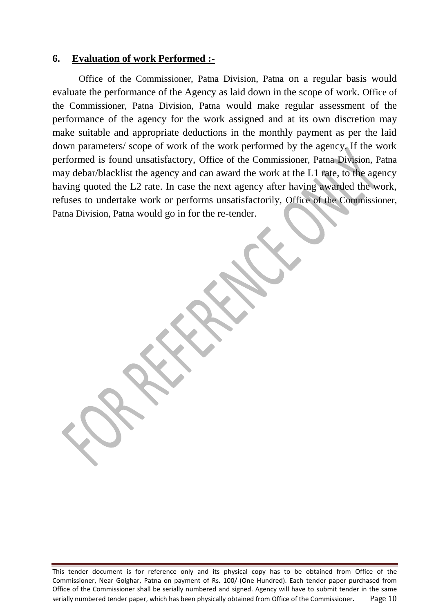#### **6. Evaluation of work Performed :-**

Office of the Commissioner, Patna Division, Patna on a regular basis would evaluate the performance of the Agency as laid down in the scope of work. Office of the Commissioner, Patna Division, Patna would make regular assessment of the performance of the agency for the work assigned and at its own discretion may make suitable and appropriate deductions in the monthly payment as per the laid down parameters/ scope of work of the work performed by the agency. If the work performed is found unsatisfactory, Office of the Commissioner, Patna Division, Patna may debar/blacklist the agency and can award the work at the L1 rate, to the agency having quoted the L2 rate. In case the next agency after having awarded the work, refuses to undertake work or performs unsatisfactorily, Office of the Commissioner, Patna Division, Patna would go in for the re-tender.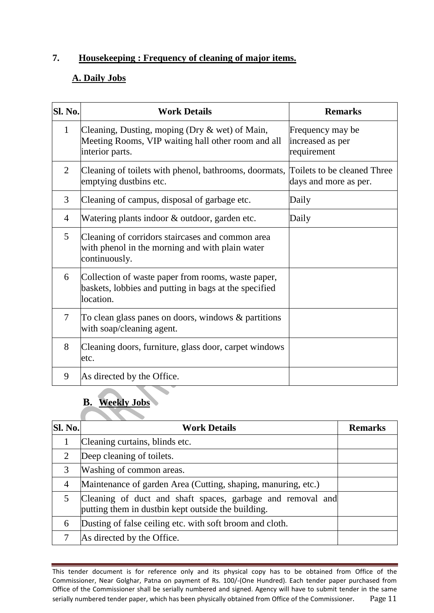## **7. Housekeeping : Frequency of cleaning of major items.**

### **A. Daily Jobs**

| Sl. No.        | <b>Work Details</b>                                                                                                        | <b>Remarks</b>                                       |
|----------------|----------------------------------------------------------------------------------------------------------------------------|------------------------------------------------------|
| $\mathbf{1}$   | Cleaning, Dusting, moping (Dry $\&$ wet) of Main,<br>Meeting Rooms, VIP waiting hall other room and all<br>interior parts. | Frequency may be<br>increased as per<br>requirement  |
| $\overline{2}$ | Cleaning of toilets with phenol, bathrooms, doormats,<br>emptying dustbins etc.                                            | Toilets to be cleaned Three<br>days and more as per. |
| 3              | Cleaning of campus, disposal of garbage etc.                                                                               | Daily                                                |
| $\overline{4}$ | Watering plants indoor & outdoor, garden etc.                                                                              | Daily                                                |
| 5              | Cleaning of corridors staircases and common area<br>with phenol in the morning and with plain water<br>continuously.       |                                                      |
| 6              | Collection of waste paper from rooms, waste paper,<br>baskets, lobbies and putting in bags at the specified<br>location.   |                                                      |
| 7              | To clean glass panes on doors, windows $\&$ partitions<br>with soap/cleaning agent.                                        |                                                      |
| 8              | Cleaning doors, furniture, glass door, carpet windows<br>etc.                                                              |                                                      |
| 9              | As directed by the Office.                                                                                                 |                                                      |

## **B. Weekly Jobs**

| Sl. No.                     | <b>Work Details</b>                                                                                              | <b>Remarks</b> |
|-----------------------------|------------------------------------------------------------------------------------------------------------------|----------------|
|                             | Cleaning curtains, blinds etc.                                                                                   |                |
| $\mathcal{D}_{\mathcal{L}}$ | Deep cleaning of toilets.                                                                                        |                |
| 3                           | Washing of common areas.                                                                                         |                |
| $\overline{4}$              | Maintenance of garden Area (Cutting, shaping, manuring, etc.)                                                    |                |
|                             | Cleaning of duct and shaft spaces, garbage and removal and<br>putting them in dustbin kept outside the building. |                |
| 6                           | Dusting of false ceiling etc. with soft broom and cloth.                                                         |                |
| 7                           | As directed by the Office.                                                                                       |                |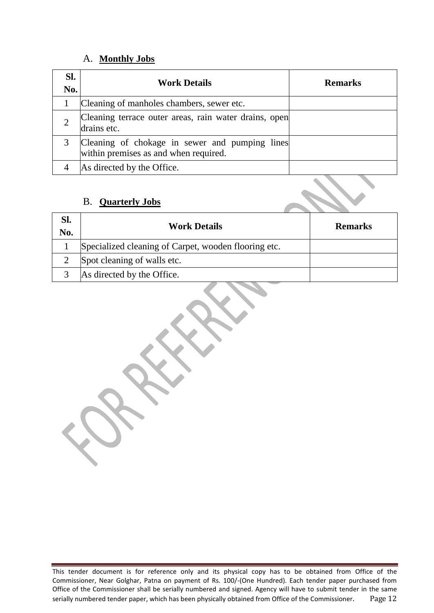#### A. **Monthly Jobs**

| SI.<br>No. | <b>Work Details</b>                                                                     | <b>Remarks</b> |
|------------|-----------------------------------------------------------------------------------------|----------------|
|            | Cleaning of manholes chambers, sewer etc.                                               |                |
|            | Cleaning terrace outer areas, rain water drains, open<br>drains etc.                    |                |
|            | Cleaning of chokage in sewer and pumping lines<br>within premises as and when required. |                |
|            | As directed by the Office.                                                              |                |

### B. **Quarterly Jobs**

| SI.<br>No. | <b>Work Details</b>                                  | <b>Remarks</b> |
|------------|------------------------------------------------------|----------------|
|            | Specialized cleaning of Carpet, wooden flooring etc. |                |
|            | Spot cleaning of walls etc.                          |                |
|            | As directed by the Office.                           |                |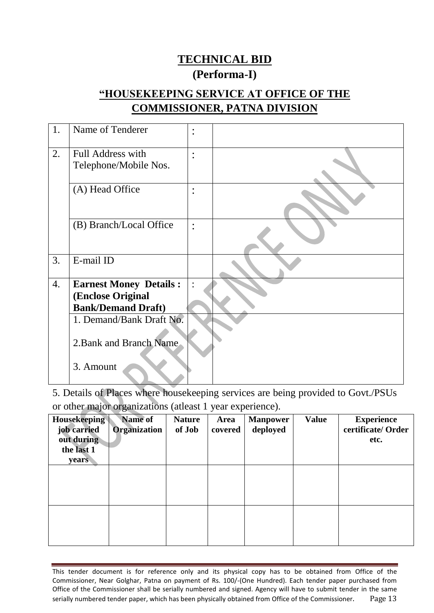# **TECHNICAL BID (Performa-I)**

## **"HOUSEKEEPING SERVICE AT OFFICE OF THE COMMISSIONER, PATNA DIVISION**

| 1. | Name of Tenderer              | $\bullet$<br>$\bullet$ |  |
|----|-------------------------------|------------------------|--|
| 2. | Full Address with             | $\bullet$              |  |
|    | Telephone/Mobile Nos.         |                        |  |
|    |                               |                        |  |
|    | (A) Head Office               | $\bullet$<br>$\bullet$ |  |
|    | (B) Branch/Local Office       | $\ddot{\cdot}$         |  |
| 3. | E-mail ID                     |                        |  |
| 4. | <b>Earnest Money Details:</b> | $\ddot{\cdot}$         |  |
|    | (Enclose Original             |                        |  |
|    | <b>Bank/Demand Draft)</b>     |                        |  |
|    | 1. Demand/Bank Draft No.      |                        |  |
|    |                               |                        |  |
|    | 2. Bank and Branch Name       |                        |  |
|    | 3. Amount                     |                        |  |

5. Details of Places where housekeeping services are being provided to Govt./PSUs or other major organizations (atleast 1 year experience).

| <b>Housekeeping</b><br>job carried<br>out during<br>the last 1<br><b>years</b> | <b>Name of</b><br><b>Organization</b> | <b>Nature</b><br>of Job | Area<br>covered | <b>Manpower</b><br>deployed | <b>Value</b> | <b>Experience</b><br>certificate/Order<br>etc. |
|--------------------------------------------------------------------------------|---------------------------------------|-------------------------|-----------------|-----------------------------|--------------|------------------------------------------------|
|                                                                                |                                       |                         |                 |                             |              |                                                |
|                                                                                |                                       |                         |                 |                             |              |                                                |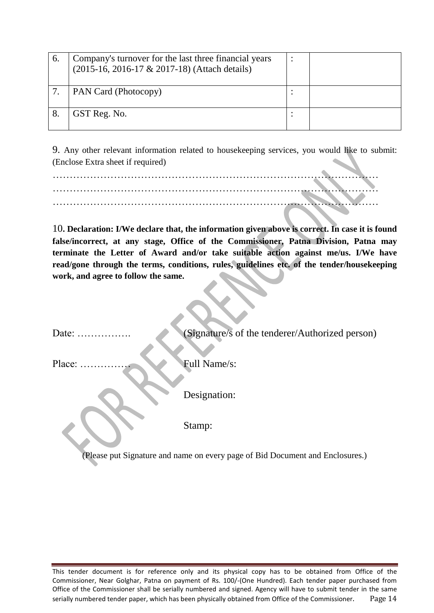| $\mathbf{b}$ | Company's turnover for the last three financial years<br>(2015-16, 2016-17 & 2017-18) (Attach details) |  |
|--------------|--------------------------------------------------------------------------------------------------------|--|
|              | PAN Card (Photocopy)                                                                                   |  |
|              | GST Reg. No.                                                                                           |  |

9. Any other relevant information related to housekeeping services, you would like to submit: (Enclose Extra sheet if required)

10**. Declaration: I/We declare that, the information given above is correct. In case it is found false/incorrect, at any stage, Office of the Commissioner, Patna Division, Patna may terminate the Letter of Award and/or take suitable action against me/us. I/We have read/gone through the terms, conditions, rules, guidelines etc. of the tender/housekeeping work, and agree to follow the same.**

Date: ………………. (Signature/s of the tenderer/Authorized person)

Place: …………… Full Name/s:

Designation:

Stamp:

(Please put Signature and name on every page of Bid Document and Enclosures.)